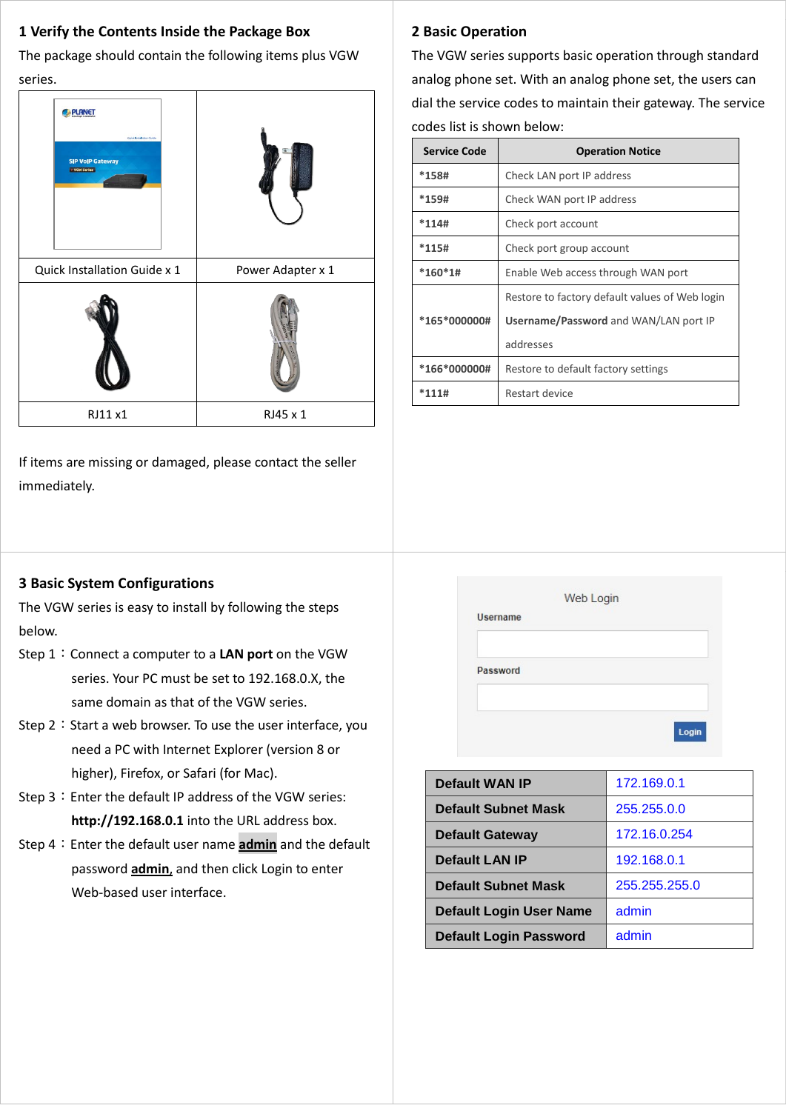## **1 Verify the Contents Inside the Package Box**

The package should contain the following items plus VGW series.

| <b>PLANET</b><br>Quick Installation Quick<br><b>SIP VoIP Gateway</b><br>- VGW Series |                   |
|--------------------------------------------------------------------------------------|-------------------|
| Quick Installation Guide x 1                                                         | Power Adapter x 1 |
|                                                                                      |                   |
| RJ11 x1                                                                              | RJ45 x 1          |

If items are missing or damaged, please contact the seller immediately.

## **3 Basic System Configurations**

The VGW series is easy to install by following the steps below.

- Step 1:Connect a computer to a **LAN port** on the VGW series. Your PC must be set to 192.168.0.X, the same domain as that of the VGW series.
- Step  $2:$  Start a web browser. To use the user interface, you need a PC with Internet Explorer (version 8 or higher), Firefox, or Safari (for Mac).
- Step 3: Enter the default IP address of the VGW series: **http://192.168.0.1** into the URL address box.
- Step 4: Enter the default user name **admin** and the default password **admin**, and then click Login to enter Web-based user interface.

# **2 Basic Operation**

The VGW series supports basic operation through standard analog phone set. With an analog phone set, the users can dial the service codes to maintain their gateway. The service codes list is shown below:

| <b>Service Code</b> | <b>Operation Notice</b>                        |  |
|---------------------|------------------------------------------------|--|
| $*158#$             | Check LAN port IP address                      |  |
| $*159#$             | Check WAN port IP address                      |  |
| $*114#$             | Check port account                             |  |
| $*115#$             | Check port group account                       |  |
| $*160*1#$           | Enable Web access through WAN port             |  |
|                     | Restore to factory default values of Web login |  |
| *165*000000#        | Username/Password and WAN/LAN port IP          |  |
|                     | addresses                                      |  |
| *166*000000#        | Restore to default factory settings            |  |
| $*111#$             | Restart device                                 |  |

|                 | Web Login |  |
|-----------------|-----------|--|
| <b>Username</b> |           |  |
| Password        |           |  |
|                 |           |  |
|                 |           |  |

| <b>Default WAN IP</b>          | 172.169.0.1   |
|--------------------------------|---------------|
| <b>Default Subnet Mask</b>     | 255.255.0.0   |
| <b>Default Gateway</b>         | 172.16.0.254  |
| <b>Default LAN IP</b>          | 192.168.0.1   |
| <b>Default Subnet Mask</b>     | 255.255.255.0 |
| <b>Default Login User Name</b> | admin         |
| <b>Default Login Password</b>  | admin         |